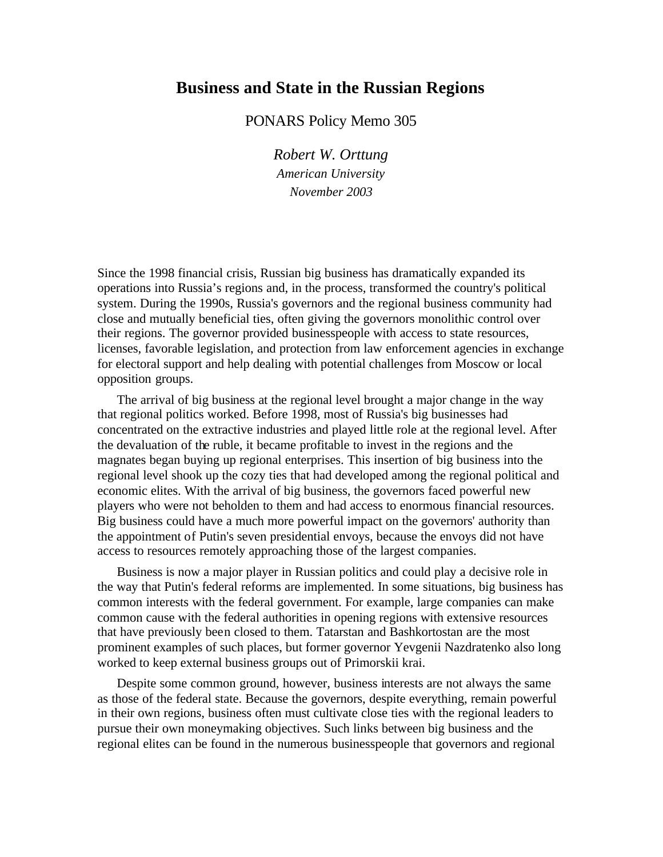## **Business and State in the Russian Regions**

PONARS Policy Memo 305

*Robert W. Orttung American University November 2003*

Since the 1998 financial crisis, Russian big business has dramatically expanded its operations into Russia's regions and, in the process, transformed the country's political system. During the 1990s, Russia's governors and the regional business community had close and mutually beneficial ties, often giving the governors monolithic control over their regions. The governor provided businesspeople with access to state resources, licenses, favorable legislation, and protection from law enforcement agencies in exchange for electoral support and help dealing with potential challenges from Moscow or local opposition groups.

The arrival of big business at the regional level brought a major change in the way that regional politics worked. Before 1998, most of Russia's big businesses had concentrated on the extractive industries and played little role at the regional level. After the devaluation of the ruble, it became profitable to invest in the regions and the magnates began buying up regional enterprises. This insertion of big business into the regional level shook up the cozy ties that had developed among the regional political and economic elites. With the arrival of big business, the governors faced powerful new players who were not beholden to them and had access to enormous financial resources. Big business could have a much more powerful impact on the governors' authority than the appointment of Putin's seven presidential envoys, because the envoys did not have access to resources remotely approaching those of the largest companies.

Business is now a major player in Russian politics and could play a decisive role in the way that Putin's federal reforms are implemented. In some situations, big business has common interests with the federal government. For example, large companies can make common cause with the federal authorities in opening regions with extensive resources that have previously been closed to them. Tatarstan and Bashkortostan are the most prominent examples of such places, but former governor Yevgenii Nazdratenko also long worked to keep external business groups out of Primorskii krai.

Despite some common ground, however, business interests are not always the same as those of the federal state. Because the governors, despite everything, remain powerful in their own regions, business often must cultivate close ties with the regional leaders to pursue their own moneymaking objectives. Such links between big business and the regional elites can be found in the numerous businesspeople that governors and regional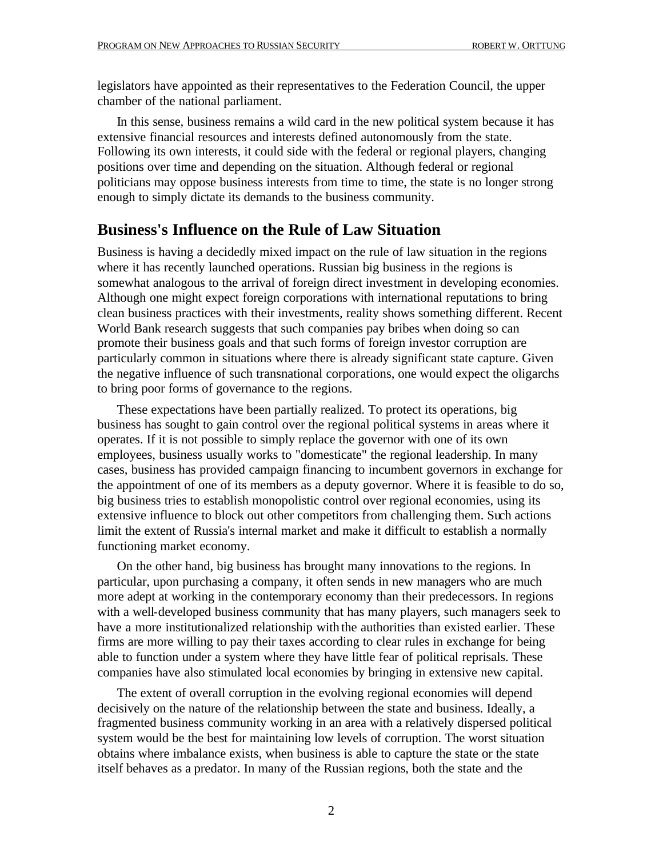legislators have appointed as their representatives to the Federation Council, the upper chamber of the national parliament.

In this sense, business remains a wild card in the new political system because it has extensive financial resources and interests defined autonomously from the state. Following its own interests, it could side with the federal or regional players, changing positions over time and depending on the situation. Although federal or regional politicians may oppose business interests from time to time, the state is no longer strong enough to simply dictate its demands to the business community.

## **Business's Influence on the Rule of Law Situation**

Business is having a decidedly mixed impact on the rule of law situation in the regions where it has recently launched operations. Russian big business in the regions is somewhat analogous to the arrival of foreign direct investment in developing economies. Although one might expect foreign corporations with international reputations to bring clean business practices with their investments, reality shows something different. Recent World Bank research suggests that such companies pay bribes when doing so can promote their business goals and that such forms of foreign investor corruption are particularly common in situations where there is already significant state capture. Given the negative influence of such transnational corporations, one would expect the oligarchs to bring poor forms of governance to the regions.

These expectations have been partially realized. To protect its operations, big business has sought to gain control over the regional political systems in areas where it operates. If it is not possible to simply replace the governor with one of its own employees, business usually works to "domesticate" the regional leadership. In many cases, business has provided campaign financing to incumbent governors in exchange for the appointment of one of its members as a deputy governor. Where it is feasible to do so, big business tries to establish monopolistic control over regional economies, using its extensive influence to block out other competitors from challenging them. Such actions limit the extent of Russia's internal market and make it difficult to establish a normally functioning market economy.

On the other hand, big business has brought many innovations to the regions. In particular, upon purchasing a company, it often sends in new managers who are much more adept at working in the contemporary economy than their predecessors. In regions with a well-developed business community that has many players, such managers seek to have a more institutionalized relationship with the authorities than existed earlier. These firms are more willing to pay their taxes according to clear rules in exchange for being able to function under a system where they have little fear of political reprisals. These companies have also stimulated local economies by bringing in extensive new capital.

The extent of overall corruption in the evolving regional economies will depend decisively on the nature of the relationship between the state and business. Ideally, a fragmented business community working in an area with a relatively dispersed political system would be the best for maintaining low levels of corruption. The worst situation obtains where imbalance exists, when business is able to capture the state or the state itself behaves as a predator. In many of the Russian regions, both the state and the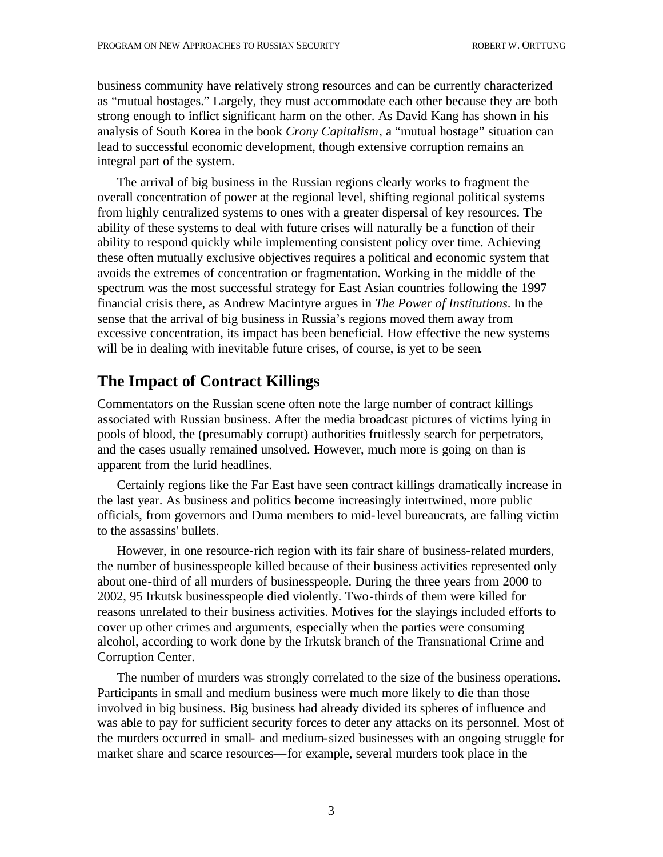business community have relatively strong resources and can be currently characterized as "mutual hostages." Largely, they must accommodate each other because they are both strong enough to inflict significant harm on the other. As David Kang has shown in his analysis of South Korea in the book *Crony Capitalism*, a "mutual hostage" situation can lead to successful economic development, though extensive corruption remains an integral part of the system.

The arrival of big business in the Russian regions clearly works to fragment the overall concentration of power at the regional level, shifting regional political systems from highly centralized systems to ones with a greater dispersal of key resources. The ability of these systems to deal with future crises will naturally be a function of their ability to respond quickly while implementing consistent policy over time. Achieving these often mutually exclusive objectives requires a political and economic system that avoids the extremes of concentration or fragmentation. Working in the middle of the spectrum was the most successful strategy for East Asian countries following the 1997 financial crisis there, as Andrew Macintyre argues in *The Power of Institutions*. In the sense that the arrival of big business in Russia's regions moved them away from excessive concentration, its impact has been beneficial. How effective the new systems will be in dealing with inevitable future crises, of course, is yet to be seen.

## **The Impact of Contract Killings**

Commentators on the Russian scene often note the large number of contract killings associated with Russian business. After the media broadcast pictures of victims lying in pools of blood, the (presumably corrupt) authorities fruitlessly search for perpetrators, and the cases usually remained unsolved. However, much more is going on than is apparent from the lurid headlines.

Certainly regions like the Far East have seen contract killings dramatically increase in the last year. As business and politics become increasingly intertwined, more public officials, from governors and Duma members to mid-level bureaucrats, are falling victim to the assassins' bullets.

However, in one resource-rich region with its fair share of business-related murders, the number of businesspeople killed because of their business activities represented only about one-third of all murders of businesspeople. During the three years from 2000 to 2002, 95 Irkutsk businesspeople died violently. Two-thirds of them were killed for reasons unrelated to their business activities. Motives for the slayings included efforts to cover up other crimes and arguments, especially when the parties were consuming alcohol, according to work done by the Irkutsk branch of the Transnational Crime and Corruption Center.

The number of murders was strongly correlated to the size of the business operations. Participants in small and medium business were much more likely to die than those involved in big business. Big business had already divided its spheres of influence and was able to pay for sufficient security forces to deter any attacks on its personnel. Most of the murders occurred in small- and medium-sized businesses with an ongoing struggle for market share and scarce resources—for example, several murders took place in the